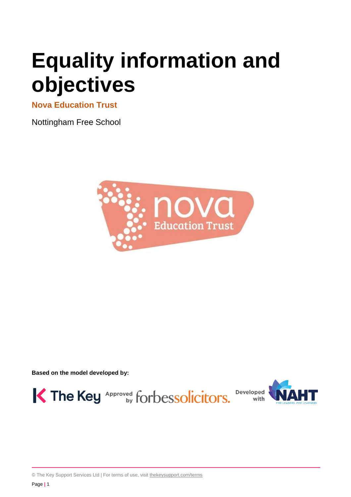# **Equality information and objectives**

**Nova Education Trust** 

Nottingham Free School



**Based on the model developed by:**



© The Key Support Services Ltd | For terms of use, visit [thekeysupport.com/terms](https://thekeysupport.com/terms-of-use)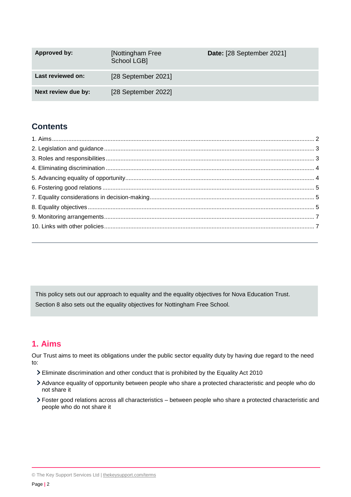| Approved by:        | [Nottingham Free<br>School LGB <sub>1</sub> | Date: [28 September 2021] |
|---------------------|---------------------------------------------|---------------------------|
| Last reviewed on:   | [28 September 2021]                         |                           |
| Next review due by: | [28 September 2022]                         |                           |

# **Contents**

This policy sets out our approach to equality and the equality objectives for Nova Education Trust. Section 8 also sets out the equality objectives for Nottingham Free School.

## <span id="page-1-0"></span>**1. Aims**

Our Trust aims to meet its obligations under the public sector equality duty by having due regard to the need to:

- Eliminate discrimination and other conduct that is prohibited by the Equality Act 2010
- Advance equality of opportunity between people who share a protected characteristic and people who do not share it
- <span id="page-1-1"></span>Foster good relations across all characteristics – between people who share a protected characteristic and people who do not share it

<sup>©</sup> The Key Support Services Ltd | [thekeysupport.com/terms](https://thekeysupport.com/terms-of-use)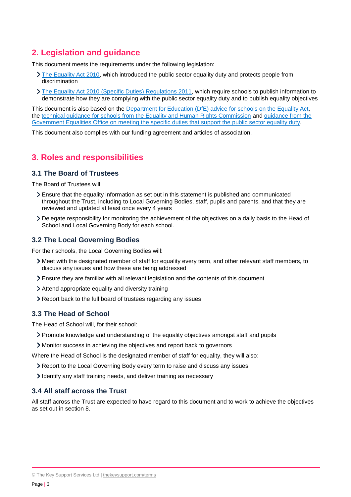## **2. Legislation and guidance**

This document meets the requirements under the following legislation:

- [The Equality Act 2010,](http://www.legislation.gov.uk/ukpga/2010/15/contents) which introduced the public sector equality duty and protects people from discrimination
- The Equality Act 2010 [\(Specific Duties\) Regulations 2011,](http://www.legislation.gov.uk/uksi/2011/2260/contents/made) which require schools to publish information to demonstrate how they are complying with the public sector equality duty and to publish equality objectives

This document is also based on the [Department for Education \(DfE\) advice for schools on the Equality](https://www.gov.uk/government/publications/equality-act-2010-advice-for-schools) Act, the [technical guidance for schools from the Equality and Human Rights Commission](https://www.equalityhumanrights.com/en/publication-download/technical-guidance-schools-england) and [guidance from the](https://www.gov.uk/government/publications/public-sector-quick-start-guide-to-the-specific-duties)  [Government Equalities Office on meeting the specific duties that support the public sector equality duty.](https://www.gov.uk/government/publications/public-sector-quick-start-guide-to-the-specific-duties)

<span id="page-2-0"></span>This document also complies with our funding agreement and articles of association.

## **3. Roles and responsibilities**

#### **3.1 The Board of Trustees**

The Board of Trustees will:

- Ensure that the equality information as set out in this statement is published and communicated throughout the Trust, including to Local Governing Bodies, staff, pupils and parents, and that they are reviewed and updated at least once every 4 years
- Delegate responsibility for monitoring the achievement of the objectives on a daily basis to the Head of School and Local Governing Body for each school.

#### **3.2 The Local Governing Bodies**

For their schools, the Local Governing Bodies will:

- Meet with the designated member of staff for equality every term, and other relevant staff members, to discuss any issues and how these are being addressed
- Ensure they are familiar with all relevant legislation and the contents of this document
- Attend appropriate equality and diversity training
- Report back to the full board of trustees regarding any issues

#### **3.3 The Head of School**

The Head of School will, for their school:

- Promote knowledge and understanding of the equality objectives amongst staff and pupils
- Monitor success in achieving the objectives and report back to governors

Where the Head of School is the designated member of staff for equality, they will also:

- Report to the Local Governing Body every term to raise and discuss any issues
- Identify any staff training needs, and deliver training as necessary

#### **3.4 All staff across the Trust**

<span id="page-2-1"></span>All staff across the Trust are expected to have regard to this document and to work to achieve the objectives as set out in section 8.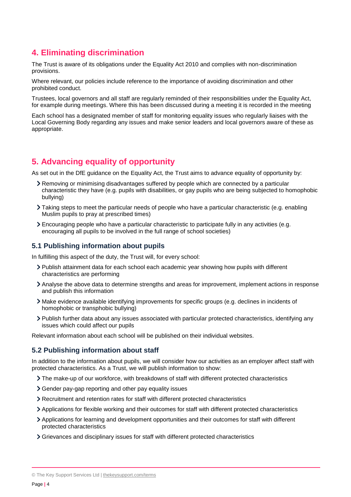## **4. Eliminating discrimination**

The Trust is aware of its obligations under the Equality Act 2010 and complies with non-discrimination provisions.

Where relevant, our policies include reference to the importance of avoiding discrimination and other prohibited conduct.

Trustees, local governors and all staff are regularly reminded of their responsibilities under the Equality Act, for example during meetings. Where this has been discussed during a meeting it is recorded in the meeting

Each school has a designated member of staff for monitoring equality issues who regularly liaises with the Local Governing Body regarding any issues and make senior leaders and local governors aware of these as appropriate.

## <span id="page-3-0"></span>**5. Advancing equality of opportunity**

As set out in the DfE guidance on the Equality Act, the Trust aims to advance equality of opportunity by:

- Removing or minimising disadvantages suffered by people which are connected by a particular characteristic they have (e.g. pupils with disabilities, or gay pupils who are being subjected to homophobic bullying)
- Taking steps to meet the particular needs of people who have a particular characteristic (e.g. enabling Muslim pupils to pray at prescribed times)
- Encouraging people who have a particular characteristic to participate fully in any activities (e.g. encouraging all pupils to be involved in the full range of school societies)

#### **5.1 Publishing information about pupils**

In fulfilling this aspect of the duty, the Trust will, for every school:

- Publish attainment data for each school each academic year showing how pupils with different characteristics are performing
- Analyse the above data to determine strengths and areas for improvement, implement actions in response and publish this information
- Make evidence available identifying improvements for specific groups (e.g. declines in incidents of homophobic or transphobic bullying)
- Publish further data about any issues associated with particular protected characteristics, identifying any issues which could affect our pupils

Relevant information about each school will be published on their individual websites.

#### **5.2 Publishing information about staff**

In addition to the information about pupils, we will consider how our activities as an employer affect staff with protected characteristics. As a Trust, we will publish information to show:

- The make-up of our workforce, with breakdowns of staff with different protected characteristics
- Gender pay-gap reporting and other pay equality issues
- Recruitment and retention rates for staff with different protected characteristics
- Applications for flexible working and their outcomes for staff with different protected characteristics
- Applications for learning and development opportunities and their outcomes for staff with different protected characteristics
- Grievances and disciplinary issues for staff with different protected characteristics

<sup>©</sup> The Key Support Services Ltd | [thekeysupport.com/terms](https://thekeysupport.com/terms-of-use)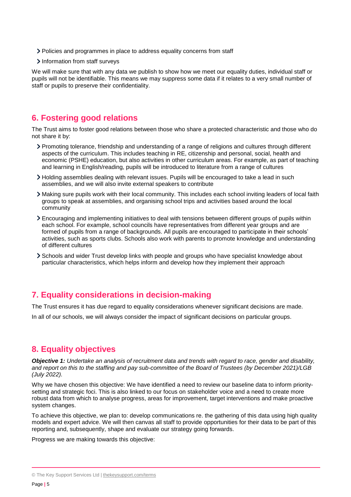- Policies and programmes in place to address equality concerns from staff
- > Information from staff surveys

We will make sure that with any data we publish to show how we meet our equality duties, individual staff or pupils will not be identifiable. This means we may suppress some data if it relates to a very small number of staff or pupils to preserve their confidentiality.

## <span id="page-4-0"></span>**6. Fostering good relations**

The Trust aims to foster good relations between those who share a protected characteristic and those who do not share it by:

- Promoting tolerance, friendship and understanding of a range of religions and cultures through different aspects of the curriculum. This includes teaching in RE, citizenship and personal, social, health and economic (PSHE) education, but also activities in other curriculum areas. For example, as part of teaching and learning in English/reading, pupils will be introduced to literature from a range of cultures
- Holding assemblies dealing with relevant issues. Pupils will be encouraged to take a lead in such assemblies, and we will also invite external speakers to contribute
- Making sure pupils work with their local community. This includes each school inviting leaders of local faith groups to speak at assemblies, and organising school trips and activities based around the local community
- Encouraging and implementing initiatives to deal with tensions between different groups of pupils within each school. For example, school councils have representatives from different year groups and are formed of pupils from a range of backgrounds. All pupils are encouraged to participate in their schools' activities, such as sports clubs. Schools also work with parents to promote knowledge and understanding of different cultures
- Schools and wider Trust develop links with people and groups who have specialist knowledge about particular characteristics, which helps inform and develop how they implement their approach

## <span id="page-4-1"></span>**7. Equality considerations in decision-making**

The Trust ensures it has due regard to equality considerations whenever significant decisions are made.

In all of our schools, we will always consider the impact of significant decisions on particular groups.

### <span id="page-4-2"></span>**8. Equality objectives**

*Objective 1: Undertake an analysis of recruitment data and trends with regard to race, gender and disability, and report on this to the staffing and pay sub-committee of the Board of Trustees (by December 2021)/LGB (July 2022).*

Why we have chosen this objective: We have identified a need to review our baseline data to inform prioritysetting and strategic foci. This is also linked to our focus on stakeholder voice and a need to create more robust data from which to analyse progress, areas for improvement, target interventions and make proactive system changes.

To achieve this objective, we plan to: develop communications re. the gathering of this data using high quality models and expert advice. We will then canvas all staff to provide opportunities for their data to be part of this reporting and, subsequently, shape and evaluate our strategy going forwards.

Progress we are making towards this objective:

<sup>©</sup> The Key Support Services Ltd | [thekeysupport.com/terms](https://thekeysupport.com/terms-of-use)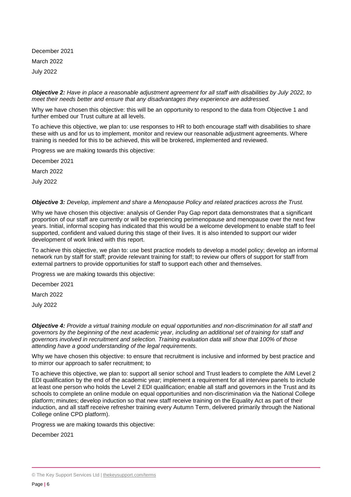December 2021 March 2022 July 2022

#### *Objective 2: Have in place a reasonable adjustment agreement for all staff with disabilities by July 2022, to meet their needs better and ensure that any disadvantages they experience are addressed.*

Why we have chosen this objective: this will be an opportunity to respond to the data from Objective 1 and further embed our Trust culture at all levels.

To achieve this objective, we plan to: use responses to HR to both encourage staff with disabilities to share these with us and for us to implement, monitor and review our reasonable adjustment agreements. Where training is needed for this to be achieved, this will be brokered, implemented and reviewed.

Progress we are making towards this objective:

December 2021

March 2022

July 2022

#### *Objective 3: Develop, implement and share a Menopause Policy and related practices across the Trust.*

Why we have chosen this objective: analysis of Gender Pay Gap report data demonstrates that a significant proportion of our staff are currently or will be experiencing perimenopause and menopause over the next few years. Initial, informal scoping has indicated that this would be a welcome development to enable staff to feel supported, confident and valued during this stage of their lives. It is also intended to support our wider development of work linked with this report.

To achieve this objective, we plan to: use best practice models to develop a model policy; develop an informal network run by staff for staff; provide relevant training for staff; to review our offers of support for staff from external partners to provide opportunities for staff to support each other and themselves.

Progress we are making towards this objective:

December 2021

March 2022

July 2022

*Objective 4: Provide a virtual training module on equal opportunities and non-discrimination for all staff and governors by the beginning of the next academic year, including an additional set of training for staff and governors involved in recruitment and selection. Training evaluation data will show that 100% of those attending have a good understanding of the legal requirements.*

Why we have chosen this objective: to ensure that recruitment is inclusive and informed by best practice and to mirror our approach to safer recruitment; to

To achieve this objective, we plan to: support all senior school and Trust leaders to complete the AIM Level 2 EDI qualification by the end of the academic year; implement a requirement for all interview panels to include at least one person who holds the Level 2 EDI qualification; enable all staff and governors in the Trust and its schools to complete an online module on equal opportunities and non-discrimination via the National College platform; minutes; develop induction so that new staff receive training on the Equality Act as part of their induction, and all staff receive refresher training every Autumn Term, delivered primarily through the National College online CPD platform).

Progress we are making towards this objective:

December 2021

<sup>©</sup> The Key Support Services Ltd | [thekeysupport.com/terms](https://thekeysupport.com/terms-of-use)